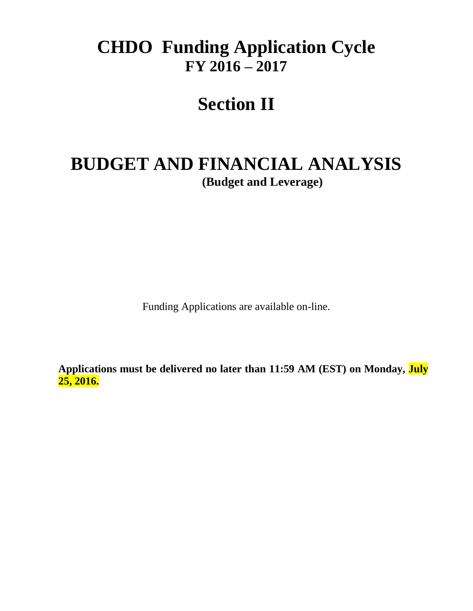# **CHDO Funding Application Cycle FY 2016 – 2017**

# **Section II**

# **BUDGET AND FINANCIAL ANALYSIS (Budget and Leverage)**

Funding Applications are available on-line.

**Applications must be delivered no later than 11:59 AM (EST) on Monday, July 25, 2016.**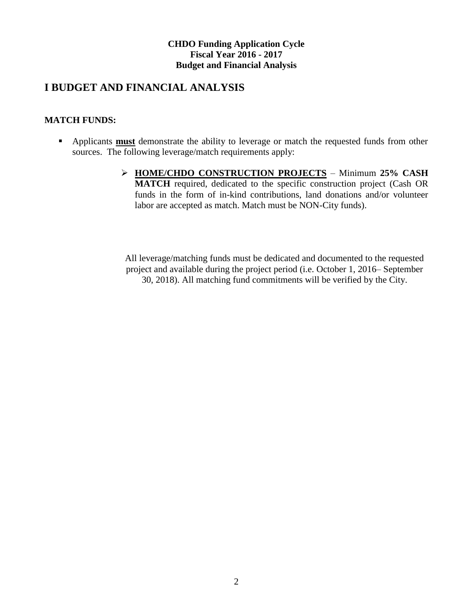## **I BUDGET AND FINANCIAL ANALYSIS**

## **MATCH FUNDS:**

- Applicants **must** demonstrate the ability to leverage or match the requested funds from other sources. The following leverage/match requirements apply:
	- **HOME/CHDO CONSTRUCTION PROJECTS** Minimum **25% CASH MATCH** required, dedicated to the specific construction project (Cash OR funds in the form of in-kind contributions, land donations and/or volunteer labor are accepted as match. Match must be NON-City funds).

All leverage/matching funds must be dedicated and documented to the requested project and available during the project period (i.e. October 1, 2016– September 30, 2018). All matching fund commitments will be verified by the City.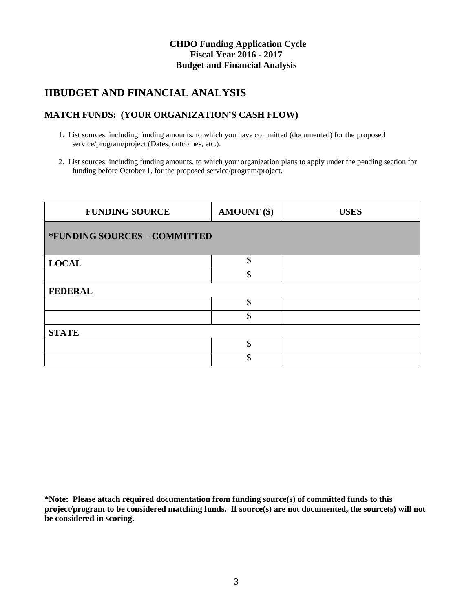## **IIBUDGET AND FINANCIAL ANALYSIS**

## **MATCH FUNDS: (YOUR ORGANIZATION'S CASH FLOW)**

- 1. List sources, including funding amounts, to which you have committed (documented) for the proposed service/program/project (Dates, outcomes, etc.).
- 2. List sources, including funding amounts, to which your organization plans to apply under the pending section for funding before October 1, for the proposed service/program/project.

| <b>FUNDING SOURCE</b>        | AMOUNT (\$)   | <b>USES</b> |
|------------------------------|---------------|-------------|
| *FUNDING SOURCES - COMMITTED |               |             |
| <b>LOCAL</b>                 | \$            |             |
|                              | \$            |             |
| <b>FEDERAL</b>               |               |             |
|                              | \$            |             |
|                              | $\mathcal{S}$ |             |
| <b>STATE</b>                 |               |             |
|                              | $\mathcal{S}$ |             |
|                              | \$            |             |

**\*Note: Please attach required documentation from funding source(s) of committed funds to this project/program to be considered matching funds. If source(s) are not documented, the source(s) will not be considered in scoring.**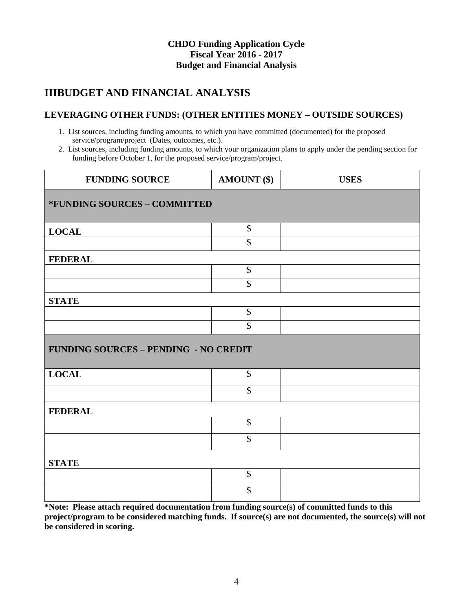# **IIIBUDGET AND FINANCIAL ANALYSIS**

## **LEVERAGING OTHER FUNDS: (OTHER ENTITIES MONEY – OUTSIDE SOURCES)**

- 1. List sources, including funding amounts, to which you have committed (documented) for the proposed service/program/project (Dates, outcomes, etc.).
- 2. List sources, including funding amounts, to which your organization plans to apply under the pending section for funding before October 1, for the proposed service/program/project.

| <b>FUNDING SOURCE</b>                        | <b>AMOUNT</b> (\$)         | <b>USES</b> |
|----------------------------------------------|----------------------------|-------------|
| *FUNDING SOURCES - COMMITTED                 |                            |             |
| <b>LOCAL</b>                                 | $\boldsymbol{\mathsf{\$}}$ |             |
|                                              | $\overline{\$}$            |             |
| <b>FEDERAL</b>                               |                            |             |
|                                              | $\overline{\$}$            |             |
|                                              | \$                         |             |
| <b>STATE</b>                                 |                            |             |
|                                              | $\overline{\$}$            |             |
|                                              | $\overline{\$}$            |             |
| <b>FUNDING SOURCES - PENDING - NO CREDIT</b> |                            |             |
| <b>LOCAL</b>                                 | $\boldsymbol{\mathsf{S}}$  |             |
|                                              | \$                         |             |
| <b>FEDERAL</b>                               |                            |             |
|                                              | $\mathcal{S}$              |             |
|                                              | \$                         |             |
| <b>STATE</b>                                 |                            |             |
|                                              | $\boldsymbol{\mathsf{S}}$  |             |
|                                              | \$                         |             |

**\*Note: Please attach required documentation from funding source(s) of committed funds to this project/program to be considered matching funds. If source(s) are not documented, the source(s) will not be considered in scoring.**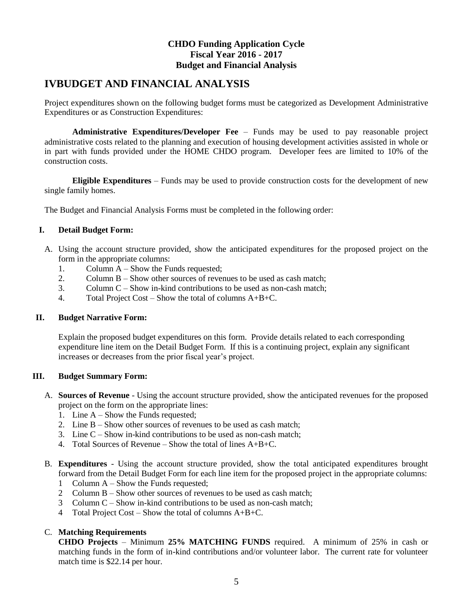## **IVBUDGET AND FINANCIAL ANALYSIS**

Project expenditures shown on the following budget forms must be categorized as Development Administrative Expenditures or as Construction Expenditures:

**Administrative Expenditures/Developer Fee** – Funds may be used to pay reasonable project administrative costs related to the planning and execution of housing development activities assisted in whole or in part with funds provided under the HOME CHDO program. Developer fees are limited to 10% of the construction costs.

**Eligible Expenditures** – Funds may be used to provide construction costs for the development of new single family homes.

The Budget and Financial Analysis Forms must be completed in the following order:

#### **I. Detail Budget Form:**

- A. Using the account structure provided, show the anticipated expenditures for the proposed project on the form in the appropriate columns:
	- 1. Column  $\overline{A}$  Show the Funds requested:
	- 2. Column B Show other sources of revenues to be used as cash match;
	- 3. Column C Show in-kind contributions to be used as non-cash match;
	- 4. Total Project Cost Show the total of columns A+B+C.

#### **II. Budget Narrative Form:**

Explain the proposed budget expenditures on this form. Provide details related to each corresponding expenditure line item on the Detail Budget Form. If this is a continuing project, explain any significant increases or decreases from the prior fiscal year's project.

#### **III. Budget Summary Form:**

- A. **Sources of Revenue** Using the account structure provided, show the anticipated revenues for the proposed project on the form on the appropriate lines:
	- 1. Line A Show the Funds requested;
	- 2. Line B Show other sources of revenues to be used as cash match;
	- 3. Line C Show in-kind contributions to be used as non-cash match;
	- 4. Total Sources of Revenue Show the total of lines  $A+B+C$ .
- B. **Expenditures** Using the account structure provided, show the total anticipated expenditures brought forward from the Detail Budget Form for each line item for the proposed project in the appropriate columns:
	- 1 Column A Show the Funds requested;
	- 2 Column B Show other sources of revenues to be used as cash match;
	- 3 Column C Show in-kind contributions to be used as non-cash match;
	- 4 Total Project Cost Show the total of columns  $A+B+C$ .

#### C. **Matching Requirements**

**CHDO Projects** – Minimum **25% MATCHING FUNDS** required. A minimum of 25% in cash or matching funds in the form of in-kind contributions and/or volunteer labor. The current rate for volunteer match time is \$22.14 per hour.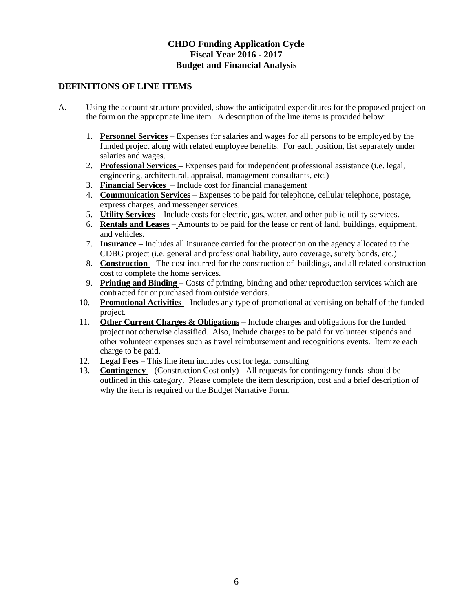### **DEFINITIONS OF LINE ITEMS**

- A. Using the account structure provided, show the anticipated expenditures for the proposed project on the form on the appropriate line item. A description of the line items is provided below:
	- 1. **Personnel Services –** Expenses for salaries and wages for all persons to be employed by the funded project along with related employee benefits. For each position, list separately under salaries and wages.
	- 2. **Professional Services –** Expenses paid for independent professional assistance (i.e. legal, engineering, architectural, appraisal, management consultants, etc.)
	- 3. **Financial Services –** Include cost for financial management
	- 4. **Communication Services –** Expenses to be paid for telephone, cellular telephone, postage, express charges, and messenger services.
	- 5. **Utility Services –** Include costs for electric, gas, water, and other public utility services.
	- 6. **Rentals and Leases –** Amounts to be paid for the lease or rent of land, buildings, equipment, and vehicles.
	- 7. **Insurance –** Includes all insurance carried for the protection on the agency allocated to the CDBG project (i.e. general and professional liability, auto coverage, surety bonds, etc.)
	- 8. **Construction –** The cost incurred for the construction of buildings, and all related construction cost to complete the home services.
	- 9. **Printing and Binding –** Costs of printing, binding and other reproduction services which are contracted for or purchased from outside vendors.
	- 10. **Promotional Activities –** Includes any type of promotional advertising on behalf of the funded project.
	- 11. **Other Current Charges & Obligations –** Include charges and obligations for the funded project not otherwise classified. Also, include charges to be paid for volunteer stipends and other volunteer expenses such as travel reimbursement and recognitions events. Itemize each charge to be paid.
	- 12. **Legal Fees –** This line item includes cost for legal consulting
	- 13. **Contingency –** (Construction Cost only) All requests for contingency funds should be outlined in this category. Please complete the item description, cost and a brief description of why the item is required on the Budget Narrative Form.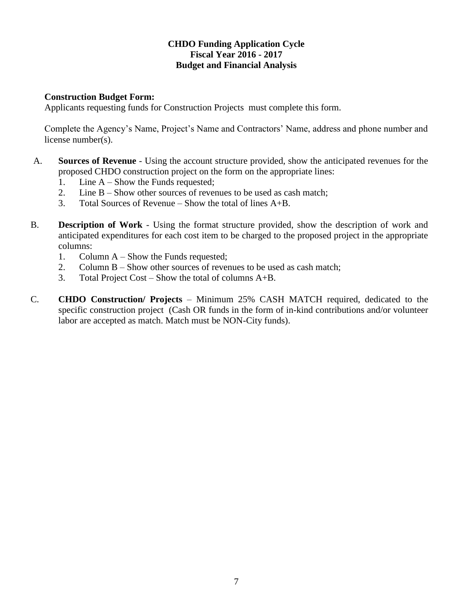### **Construction Budget Form:**

Applicants requesting funds for Construction Projects must complete this form.

Complete the Agency's Name, Project's Name and Contractors' Name, address and phone number and license number(s).

- A. **Sources of Revenue** Using the account structure provided, show the anticipated revenues for the proposed CHDO construction project on the form on the appropriate lines:
	- 1. Line A Show the Funds requested;
	- 2. Line B Show other sources of revenues to be used as cash match;
	- 3. Total Sources of Revenue Show the total of lines A+B.
- B. **Description of Work** Using the format structure provided, show the description of work and anticipated expenditures for each cost item to be charged to the proposed project in the appropriate columns:
	- 1. Column A Show the Funds requested;
	- 2. Column B Show other sources of revenues to be used as cash match;
	- 3. Total Project Cost Show the total of columns A+B.
- C. **CHDO Construction/ Projects** Minimum 25% CASH MATCH required, dedicated to the specific construction project (Cash OR funds in the form of in-kind contributions and/or volunteer labor are accepted as match. Match must be NON-City funds).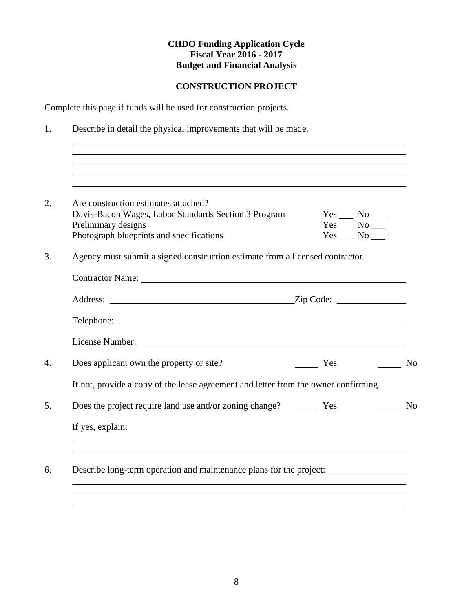## **CONSTRUCTION PROJECT**

Complete this page if funds will be used for construction projects.

1. Describe in detail the physical improvements that will be made.

| Are construction estimates attached?<br>Davis-Bacon Wages, Labor Standards Section 3 Program<br>Preliminary designs<br>Photograph blueprints and specifications | $Yes$ No ______<br>$Yes$ No ______<br>$Yes$ No ______ |
|-----------------------------------------------------------------------------------------------------------------------------------------------------------------|-------------------------------------------------------|
| Agency must submit a signed construction estimate from a licensed contractor.                                                                                   |                                                       |
|                                                                                                                                                                 |                                                       |
| Address: <u>Zip Code:</u> <u>Zip Code:</u>                                                                                                                      |                                                       |
|                                                                                                                                                                 |                                                       |
|                                                                                                                                                                 |                                                       |
| Does applicant own the property or site?                                                                                                                        | $\frac{\ }{\ }$ Yes<br>$\sim$ No                      |
| If not, provide a copy of the lease agreement and letter from the owner confirming.                                                                             |                                                       |
|                                                                                                                                                                 | <b>No</b>                                             |
| If yes, explain:                                                                                                                                                |                                                       |
|                                                                                                                                                                 |                                                       |